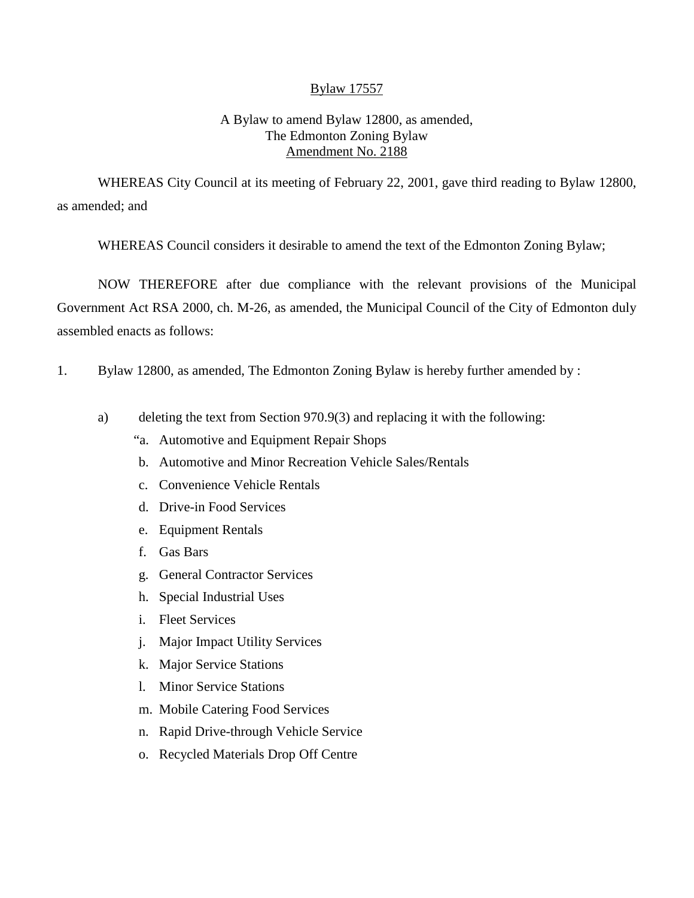## Bylaw 17557

## A Bylaw to amend Bylaw 12800, as amended, The Edmonton Zoning Bylaw Amendment No. 2188

WHEREAS City Council at its meeting of February 22, 2001, gave third reading to Bylaw 12800, as amended; and

WHEREAS Council considers it desirable to amend the text of the Edmonton Zoning Bylaw;

NOW THEREFORE after due compliance with the relevant provisions of the Municipal Government Act RSA 2000, ch. M-26, as amended, the Municipal Council of the City of Edmonton duly assembled enacts as follows:

- 1. Bylaw 12800, as amended, The Edmonton Zoning Bylaw is hereby further amended by :
	- a) deleting the text from Section 970.9(3) and replacing it with the following:
		- "a. Automotive and Equipment Repair Shops
		- b. Automotive and Minor Recreation Vehicle Sales/Rentals
		- c. Convenience Vehicle Rentals
		- d. Drive-in Food Services
		- e. Equipment Rentals
		- f. Gas Bars
		- g. General Contractor Services
		- h. Special Industrial Uses
		- i. Fleet Services
		- j. Major Impact Utility Services
		- k. Major Service Stations
		- l. Minor Service Stations
		- m. Mobile Catering Food Services
		- n. Rapid Drive-through Vehicle Service
		- o. Recycled Materials Drop Off Centre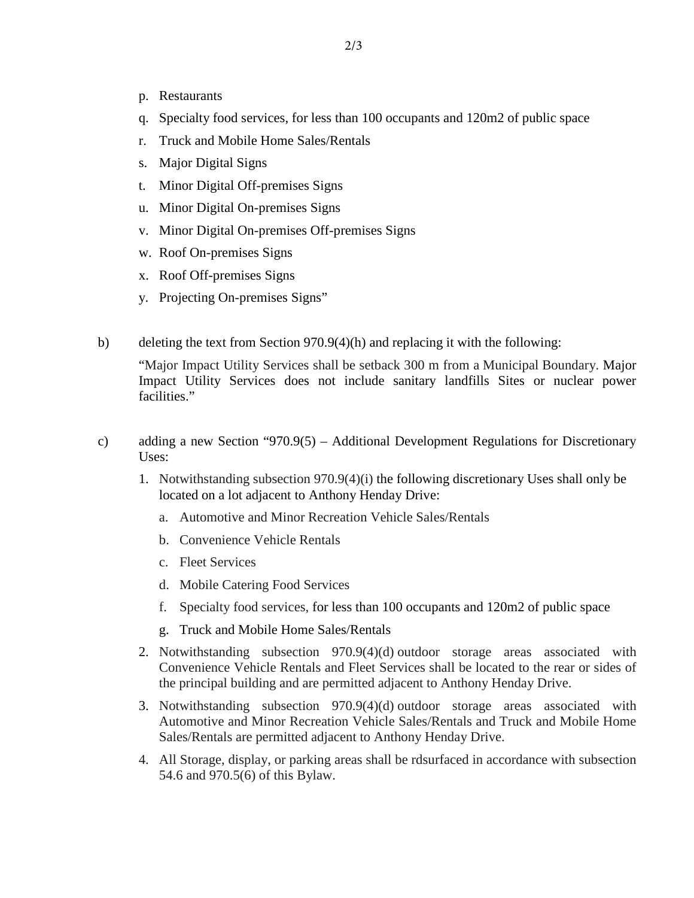- p. Restaurants
- q. Specialty food services, for less than 100 occupants and 120m2 of public space
- r. Truck and Mobile Home Sales/Rentals
- s. Major Digital Signs
- t. Minor Digital Off-premises Signs
- u. Minor Digital On-premises Signs
- v. Minor Digital On-premises Off-premises Signs
- w. Roof On-premises Signs
- x. Roof Off-premises Signs
- y. Projecting On-premises Signs"
- b) deleting the text from Section 970.9(4)(h) and replacing it with the following:

"Major Impact Utility Services shall be setback 300 m from a Municipal Boundary. Major Impact Utility Services does not include sanitary landfills Sites or nuclear power facilities."

- c) adding a new Section "970.9(5) Additional Development Regulations for Discretionary Uses:
	- 1. Notwithstanding subsection 970.9(4)(i) the following discretionary Uses shall only be located on a lot adjacent to Anthony Henday Drive:
		- a. Automotive and Minor Recreation Vehicle Sales/Rentals
		- b. Convenience Vehicle Rentals
		- c. Fleet Services
		- d. Mobile Catering Food Services
		- f. Specialty food services, for less than 100 occupants and 120m2 of public space
		- g. Truck and Mobile Home Sales/Rentals
	- 2. Notwithstanding subsection 970.9(4)(d) outdoor storage areas associated with Convenience Vehicle Rentals and Fleet Services shall be located to the rear or sides of the principal building and are permitted adjacent to Anthony Henday Drive.
	- 3. Notwithstanding subsection 970.9(4)(d) outdoor storage areas associated with Automotive and Minor Recreation Vehicle Sales/Rentals and Truck and Mobile Home Sales/Rentals are permitted adjacent to Anthony Henday Drive.
	- 4. All Storage, display, or parking areas shall be rdsurfaced in accordance with subsection 54.6 and 970.5(6) of this Bylaw.